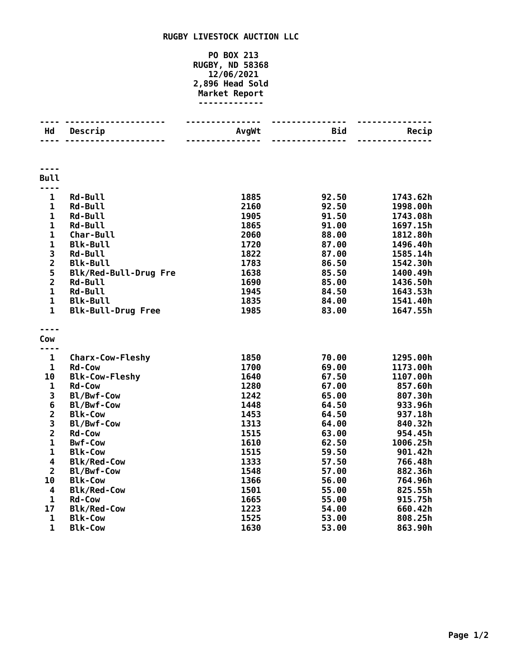## **RUGBY LIVESTOCK AUCTION LLC**

## **PO BOX 213 RUGBY, ND 58368 12/06/2021 2,896 Head Sold Market Report -------------**

| Hd                      | Descrip                              | AvgWt | Bid   | Recip    |
|-------------------------|--------------------------------------|-------|-------|----------|
|                         |                                      |       |       |          |
|                         |                                      |       |       |          |
| <b>Bull</b>             |                                      |       |       |          |
| $\frac{1}{2}$           |                                      |       |       |          |
| 1                       | <b>Rd-Bull</b>                       | 1885  | 92.50 | 1743.62h |
| $\mathbf{1}$            | <b>Rd-Bull</b>                       | 2160  | 92.50 | 1998.00h |
| $\mathbf{1}$            | <b>Rd-Bull</b>                       | 1905  | 91.50 | 1743.08h |
| 1                       | <b>Rd-Bull</b>                       | 1865  | 91.00 | 1697.15h |
| $\mathbf{1}$            | Char-Bull                            | 2060  | 88.00 | 1812.80h |
| $\mathbf{1}$            | <b>Blk-Bull</b>                      | 1720  | 87.00 | 1496.40h |
| 3                       | <b>Rd-Bull</b>                       | 1822  | 87.00 | 1585.14h |
| $\overline{\mathbf{c}}$ | <b>Blk-Bull</b>                      | 1783  | 86.50 | 1542.30h |
| 5                       | Blk/Red-Bull-Drug Fre                | 1638  | 85.50 | 1400.49h |
| $\overline{\mathbf{c}}$ | <b>Rd-Bull</b>                       | 1690  | 85.00 | 1436.50h |
| $\mathbf{1}$            | <b>Rd-Bull</b>                       | 1945  | 84.50 | 1643.53h |
| $\mathbf{1}$            | <b>Blk-Bull</b>                      | 1835  | 84.00 | 1541.40h |
| $\mathbf{1}$            | <b>Blk-Bull-Drug Free</b>            | 1985  | 83.00 | 1647.55h |
|                         |                                      |       |       |          |
| Cow                     |                                      |       |       |          |
| ----                    |                                      |       |       |          |
| $\mathbf{1}$            | <b>Charx-Cow-Fleshy</b>              | 1850  | 70.00 | 1295.00h |
| $\mathbf 1$             | <b>Rd-Cow</b>                        | 1700  | 69.00 | 1173.00h |
| 10                      | <b>Blk-Cow-Fleshy</b>                | 1640  | 67.50 | 1107.00h |
| $\mathbf 1$             | <b>Rd-Cow</b>                        | 1280  | 67.00 | 857.60h  |
| 3                       | Bl/Bwf-Cow                           | 1242  | 65.00 | 807.30h  |
| $\bf 6$                 | Bl/Bwf-Cow                           | 1448  | 64.50 | 933.96h  |
| $\overline{\mathbf{c}}$ | <b>Blk-Cow</b>                       | 1453  | 64.50 | 937.18h  |
| 3                       | Bl/Bwf-Cow                           | 1313  | 64.00 | 840.32h  |
| $\overline{\mathbf{2}}$ | <b>Rd-Cow</b>                        | 1515  | 63.00 | 954.45h  |
| $\mathbf{1}$            | <b>Bwf-Cow</b>                       | 1610  | 62.50 | 1006.25h |
| $\mathbf 1$             | <b>Blk-Cow</b>                       | 1515  | 59.50 | 901.42h  |
| 4                       | <b>Blk/Red-Cow</b>                   | 1333  | 57.50 | 766.48h  |
| $\overline{2}$          | Bl/Bwf-Cow                           | 1548  | 57.00 | 882.36h  |
| 10                      | <b>Blk-Cow</b>                       | 1366  | 56.00 | 764.96h  |
| 4<br>$\mathbf{1}$       | <b>Blk/Red-Cow</b>                   | 1501  | 55.00 | 825.55h  |
| 17                      | <b>Rd-Cow</b>                        | 1665  | 55.00 | 915.75h  |
| $\mathbf 1$             | <b>Blk/Red-Cow</b><br><b>Blk-Cow</b> | 1223  | 54.00 | 660.42h  |
| $\mathbf{1}$            |                                      | 1525  | 53.00 | 808.25h  |
|                         | <b>Blk-Cow</b>                       | 1630  | 53.00 | 863.90h  |